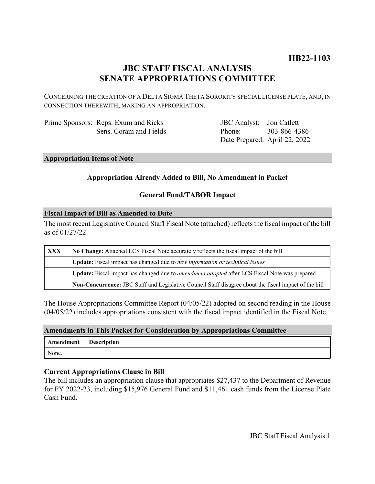# **HB22-1103**

# **JBC STAFF FISCAL ANALYSIS SENATE APPROPRIATIONS COMMITTEE**

CONCERNING THE CREATION OF A DELTA SIGMA THETA SORORITY SPECIAL LICENSE PLATE, AND, IN CONNECTION THEREWITH, MAKING AN APPROPRIATION.

| Prime Sponsors: Reps. Exum and Ricks |
|--------------------------------------|
| Sens. Coram and Fields               |

JBC Analyst: Jon Catlett Phone: Date Prepared: April 22, 2022 303-866-4386

# **Appropriation Items of Note**

# **Appropriation Already Added to Bill, No Amendment in Packet**

# **General Fund/TABOR Impact**

### **Fiscal Impact of Bill as Amended to Date**

The most recent Legislative Council Staff Fiscal Note (attached) reflects the fiscal impact of the bill as of 01/27/22.

| XXX | No Change: Attached LCS Fiscal Note accurately reflects the fiscal impact of the bill                 |  |
|-----|-------------------------------------------------------------------------------------------------------|--|
|     | Update: Fiscal impact has changed due to new information or technical issues                          |  |
|     | Update: Fiscal impact has changed due to <i>amendment adopted</i> after LCS Fiscal Note was prepared  |  |
|     | Non-Concurrence: JBC Staff and Legislative Council Staff disagree about the fiscal impact of the bill |  |

The House Appropriations Committee Report (04/05/22) adopted on second reading in the House (04/05/22) includes appropriations consistent with the fiscal impact identified in the Fiscal Note.

#### **Amendments in This Packet for Consideration by Appropriations Committee**

| <b>Amendment</b> Description |  |
|------------------------------|--|
| None.                        |  |

# **Current Appropriations Clause in Bill**

The bill includes an appropriation clause that appropriates \$27,437 to the Department of Revenue for FY 2022-23, including \$15,976 General Fund and \$11,461 cash funds from the License Plate Cash Fund.